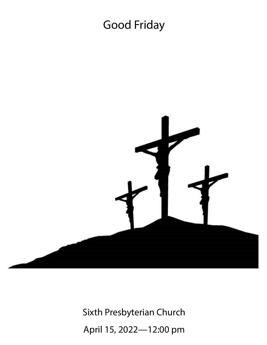# Good Friday



Sixth Presbyterian Church April 15, 2022—12:00 pm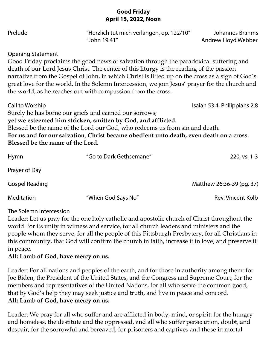### **Good Friday April 15, 2022, Noon**

| Prelude                                             | "Herzlich tut mich verlangen, op. 122/10"<br>"John 19:41"                                                                                                                                                                                                                                                                                                                                                                                               | Johannes Brahms<br>Andrew Lloyd Webber |
|-----------------------------------------------------|---------------------------------------------------------------------------------------------------------------------------------------------------------------------------------------------------------------------------------------------------------------------------------------------------------------------------------------------------------------------------------------------------------------------------------------------------------|----------------------------------------|
| <b>Opening Statement</b>                            | Good Friday proclaims the good news of salvation through the paradoxical suffering and<br>death of our Lord Jesus Christ. The center of this liturgy is the reading of the passion<br>narrative from the Gospel of John, in which Christ is lifted up on the cross as a sign of God's<br>great love for the world. In the Solemn Intercession, we join Jesus' prayer for the church and<br>the world, as he reaches out with compassion from the cross. |                                        |
| Call to Worship<br>Blessed be the name of the Lord. | Surely he has borne our griefs and carried our sorrows;<br>yet we esteemed him stricken, smitten by God, and afflicted.<br>Blessed be the name of the Lord our God, who redeems us from sin and death.<br>For us and for our salvation, Christ became obedient unto death, even death on a cross.                                                                                                                                                       | Isaiah 53:4, Philippians 2:8           |
| Hymn                                                | "Go to Dark Gethsemane"                                                                                                                                                                                                                                                                                                                                                                                                                                 | 220, vs. 1-3                           |
| Prayer of Day                                       |                                                                                                                                                                                                                                                                                                                                                                                                                                                         |                                        |
| <b>Gospel Reading</b>                               |                                                                                                                                                                                                                                                                                                                                                                                                                                                         | Matthew 26:36-39 (pg. 37)              |
| Meditation                                          | "When God Says No"                                                                                                                                                                                                                                                                                                                                                                                                                                      | Rev. Vincent Kolb                      |

#### The Solemn Intercession

Leader: Let us pray for the one holy catholic and apostolic church of Christ throughout the world: for its unity in witness and service, for all church leaders and ministers and the people whom they serve, for all the people of this Pittsburgh Presbytery, for all Christians in this community, that God will confirm the church in faith, increase it in love, and preserve it in peace.

#### **All: Lamb of God, have mercy on us.**

Leader: For all nations and peoples of the earth, and for those in authority among them: for Joe Biden, the President of the United States, and the Congress and Supreme Court, for the members and representatives of the United Nations, for all who serve the common good, that by God's help they may seek justice and truth, and live in peace and concord. **All: Lamb of God, have mercy on us.**

Leader: We pray for all who suffer and are afflicted in body, mind, or spirit: for the hungry and homeless, the destitute and the oppressed, and all who suffer persecution, doubt, and despair, for the sorrowful and bereaved, for prisoners and captives and those in mortal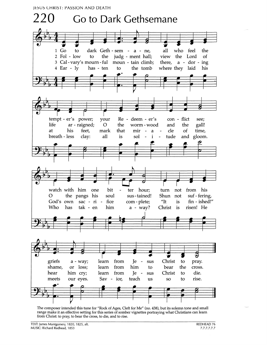

The composer intended this tune for "Rock of Ages, Cleft for Me" (no. 438), but its solemn tone and small range make it an effective setting for this series of somber vignettes portraying what Christians can learn from Christ: to pray, to bear the cross, to die, and to rise.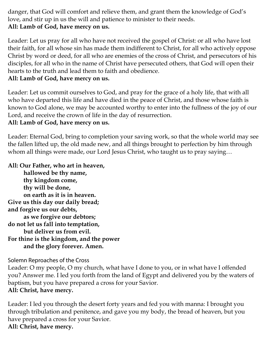danger, that God will comfort and relieve them, and grant them the knowledge of God's love, and stir up in us the will and patience to minister to their needs. **All: Lamb of God, have mercy on us.** 

Leader: Let us pray for all who have not received the gospel of Christ: or all who have lost their faith, for all whose sin has made them indifferent to Christ, for all who actively oppose Christ by word or deed, for all who are enemies of the cross of Christ, and persecutors of his disciples, for all who in the name of Christ have persecuted others, that God will open their hearts to the truth and lead them to faith and obedience.

### **All: Lamb of God, have mercy on us.**

Leader: Let us commit ourselves to God, and pray for the grace of a holy life, that with all who have departed this life and have died in the peace of Christ, and those whose faith is known to God alone, we may be accounted worthy to enter into the fullness of the joy of our Lord, and receive the crown of life in the day of resurrection.

**All: Lamb of God, have mercy on us.** 

Leader: Eternal God, bring to completion your saving work, so that the whole world may see the fallen lifted up, the old made new, and all things brought to perfection by him through whom all things were made, our Lord Jesus Christ, who taught us to pray saying…

**All: Our Father, who art in heaven,** 

 **hallowed be thy name, thy kingdom come, thy will be done, on earth as it is in heaven. Give us this day our daily bread; and forgive us our debts, as we forgive our debtors; do not let us fall into temptation, but deliver us from evil. For thine is the kingdom, and the power and the glory forever. Amen.** 

Solemn Reproaches of the Cross

Leader: O my people, O my church, what have I done to you, or in what have I offended you? Answer me. I led you forth from the land of Egypt and delivered you by the waters of baptism, but you have prepared a cross for your Savior. **All: Christ, have mercy.** 

Leader: I led you through the desert forty years and fed you with manna: I brought you through tribulation and penitence, and gave you my body, the bread of heaven, but you have prepared a cross for your Savior. **All: Christ, have mercy.**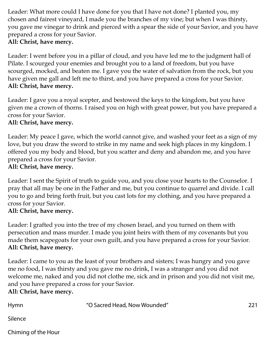Leader: What more could I have done for you that I have not done? I planted you, my chosen and fairest vineyard, I made you the branches of my vine; but when I was thirsty, you gave me vinegar to drink and pierced with a spear the side of your Savior, and you have prepared a cross for your Savior.

## **All: Christ, have mercy.**

Leader: I went before you in a pillar of cloud, and you have led me to the judgment hall of Pilate. I scourged your enemies and brought you to a land of freedom, but you have scourged, mocked, and beaten me. I gave you the water of salvation from the rock, but you have given me gall and left me to thirst, and you have prepared a cross for your Savior. **All: Christ, have mercy.**

Leader: I gave you a royal scepter, and bestowed the keys to the kingdom, but you have given me a crown of thorns. I raised you on high with great power, but you have prepared a cross for your Savior.

## **All: Christ, have mercy.**

Leader: My peace I gave, which the world cannot give, and washed your feet as a sign of my love, but you draw the sword to strike in my name and seek high places in my kingdom. I offered you my body and blood, but you scatter and deny and abandon me, and you have prepared a cross for your Savior.

### **All: Christ, have mercy.**

Leader: I sent the Spirit of truth to guide you, and you close your hearts to the Counselor. I pray that all may be one in the Father and me, but you continue to quarrel and divide. I call you to go and bring forth fruit, but you cast lots for my clothing, and you have prepared a cross for your Savior.

#### **All: Christ, have mercy.**

Leader: I grafted you into the tree of my chosen Israel, and you turned on them with persecution and mass murder. I made you joint heirs with them of my covenants but you made them scapegoats for your own guilt, and you have prepared a cross for your Savior. **All: Christ, have mercy.** 

Leader: I came to you as the least of your brothers and sisters; I was hungry and you gave me no food, I was thirsty and you gave me no drink, I was a stranger and you did not welcome me, naked and you did not clothe me, sick and in prison and you did not visit me, and you have prepared a cross for your Savior.

**All: Christ, have mercy.** 

| Hymn | "O Sacred Head, Now Wounded" | 221 |
|------|------------------------------|-----|
|      |                              |     |

Silence

Chiming of the Hour